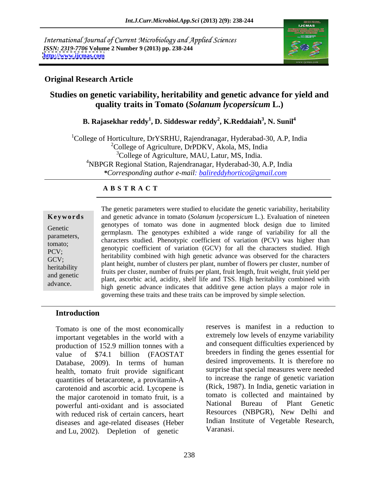International Journal of Current Microbiology and Applied Sciences *ISSN: 2319-7706* **Volume 2 Number 9 (2013) pp. 238-244 <http://www.ijcmas.com>**



## **Original Research Article**

# **Studies on genetic variability, heritability and genetic advance for yield and quality traits in Tomato (***Solanum lycopersicum* **L.)**

### **B. Rajasekhar reddy<sup>1</sup> , D. Siddeswar reddy<sup>2</sup> , K.Reddaiah<sup>3</sup> , N. Sunil<sup>4</sup>**

<sup>1</sup>College of Horticulture, DrYSRHU, Rajendranagar, Hyderabad-30, A.P., India  $^{2}$ College of Agriculture, DrPDKV, Akola, MS, India <sup>3</sup>College of Agriculture, MAU, Latur, MS, India.<br><sup>4</sup>NBPGR Regional Station, Rajendranagar, Hyderabad-30, A.P, India *\*Corresponding author e-mail: balireddyhortico@gmail.com*

### **A B S T R A C T**

| Keywords     |
|--------------|
| Genetic      |
| parameters,  |
| tomato;      |
| PCV;         |
| GCV;         |
| heritability |
| and genetic  |
| advance.     |

**Ke ywo rds** and genetic advance in tomato (*Solanum lycopersicum* L.). Evaluation of nineteen Genetic genotypes of tomato was done in augmented block design due to immediately germplasm. The genotypes exhibited a wide range of variability for all the parameters, geomplasm. The genotypics exhibited a wide range of variability for an increase characters studied. Phenotypic coefficient of variation (PCV) was higher than tomato; and characters studied. Then<br>the coefficient of variation (GCV) for all the characters studied. High<br>pcy. PCV;<br>heritability combined with high genetic advance was observed for the characters GCV;<br>heritobility, plant height, number of clusters per plant, number of flowers per cluster, number of heritability<br>
fruits per cluster, number of fruits per plant, fruit length, fruit weight, fruit yield per<br>
fruits per cluster, number of fruits per plant, fruit length, fruit weight, fruit yield per and genetic must be cluster, number of fruits per plant, fruit engin, fruit weight, fruit yield per plant, ascorbic acid, acidity, shelf life and TSS. High heritability combined with The genetic parameters were studied to elucidate the genetic variability, heritability<br>
and genetic advance in tomato (*Solanum lycopersicum* L.). Evaluation of nineteen<br>
genotypes of tomato was done in augmented block des genotypes of tomato was done in augmented block design due to limited high genetic advance indicates that additive gene action plays a major role in governing these traits and these traits can be improved by simple selection.

### **Introduction**

Tomato is one of the most economically important vegetables in the world with a production of 152.9 million tonnes with a value of \$74.1 billion (FAOSTAT breeders in finding the genes essential for Database, 2009). In terms of human health, tomato fruit provide significant quantities of betacarotene, a provitamin-A carotenoid and ascorbic acid. Lycopene is the major carotenoid in tomato fruit, is a tomato 18<br>november of the carocalistic conductional powerful anti-oxidant and is associated with reduced risk of certain cancers, heart diseases and age-related diseases (Heber Indian In<br>and Lu 2002) Depletion of genetic Varanasi. and Lu, 2002). Depletion of genetic

reserves is manifest in a reduction to extremely low levels of enzyme variability and consequent difficulties experienced by breeders in finding the genes essential for desired improvements. It is therefore no surprise that special measures were needed to increase the range of genetic variation (Rick, 1987). In India, genetic variation in tomato is collected and maintained by Bureau of Plant Genetic Resources (NBPGR), New Delhi and Indian Institute of Vegetable Research, Varanasi.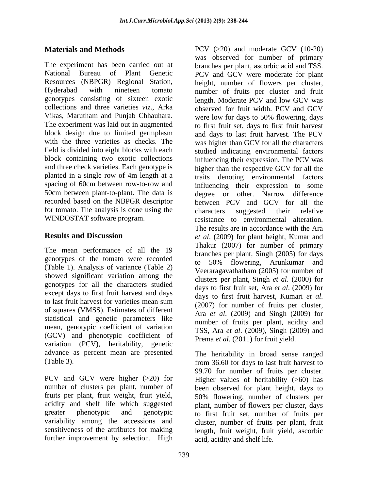genotypes consisting of sixteen exotic length. Moderate PCV and low GCV was Vikas, Marutham and Punjab Chhauhara. block design due to limited germplasm and days to last fruit harvest. The PCV spacing of 60cm between row-to-row and recorded based on the NBPGR descriptor for tomato. The analysis is done using the characters suggested their relative WINDOSTAT software program.

The mean performance of all the 19 genotypes of the tomato were recorded (Table 1). Analysis of variance (Table 2) showed significant variation among the genotypes for all the characters studied except days to first fruit harvest and days to first fruit harvest, Kumari et al. to fast fruit harvest for varieties mean sum<br>of squares (VMSS). Estimates of different<br> $\lambda_{\text{max}}$ ,  $\lambda_{\text{max}}$ ,  $\lambda_{\text{max}}$ ,  $\lambda_{\text{max}}$ , (2000), and Singh (2000), for statistical and genetic parameters like mean, genotypic coefficient of variation (GCV) and phenotypic coefficient of variation (PCV), heritability, genetic advance as percent mean are presented

PCV and GCV were higher (>20) for number of clusters per plant, number of been observed for plant height, days to fruits per plant, fruit weight, fruit yield, acidity and shelf life which suggested plant, number of flowers per cluster, days greater phenotypic and genotypic to first fruit set, number of fruits per variability among the accessions and cluster, number of fruits per plant, fruit sensitiveness of the attributes for making further improvement by selection. High

**Materials and Methods** PCV (>20) and moderate GCV (10-20) The experiment has been carried out at branches per plant, ascorbic acid and TSS. National Bureau of Plant Genetic PCV and GCV were moderate for plant Resources (NBPGR) Regional Station, height, number of flowers per cluster, Hyderabad with nineteen tomato number of fruits per cluster and fruit collections and three varieties *viz*., Arka observed for fruit width. PCV and GCV The experiment was laid out in augmented to first fruit set, days to first fruit harvest with the three varieties as checks. The was higher than GCV for all the characters field is divided into eight blocks with each studied indicating environmental factors block containing two exotic collections influencing their expression. The PCV was and three check varieties. Each genotype is higher than the respective GCV for all the planted in a single row of 4m length at a traits denoting environmental factors 50cm between plant-to-plant. The data is degree or other. Narrow difference resistance to environmental alteration. **Results and Discussion** *et al*. (2009) for plant height, Kumar and to last fruit harvest for varieties mean sum  $(2007)$  for number of fruits per cluster was observed for number of primary length. Moderate PCV and low GCV was were low for days to 50% flowering, days and days to last fruit harvest. The PCV influencing their expression to some between PCV and GCV for all the characters suggested their relative resistance to environmental alteration. The results are in accordance with the Ara Thakur (2007) for number of primary branches per plant, Singh (2005) for days to 50% flowering, Arunkumar and Veeraragavathatham (2005) for number of clusters per plant, Singh *et al*. (2000) for days to first fruit set, Ara *et al*. (2009) for days to first fruit harvest, Kumari *et al*. (2007) for number of fruits per cluster, Ara *et al*. (2009) and Singh (2009) for number of fruits per plant, acidity and TSS, Ara *et al.* (2009), Singh (2009) and Prema *et al*. (2011) for fruit yield.

(Table 3). from 36.60 for days to last fruit harvest to The heritability in broad sense ranged 99.70 for number of fruits per cluster. Higher values of heritability (>60) has 50% flowering, number of clusters per length, fruit weight, fruit yield, ascorbic acid, acidity and shelf life.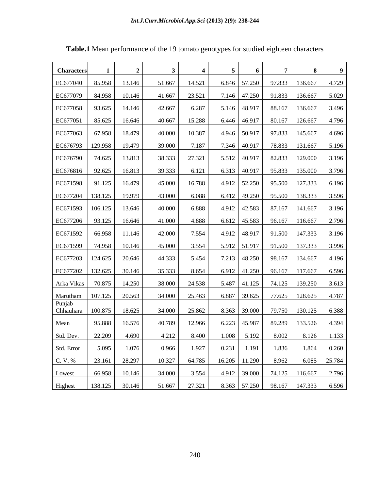| <b>Characters</b>                               |               |                |        |         |                                           |  |                                                         |       |
|-------------------------------------------------|---------------|----------------|--------|---------|-------------------------------------------|--|---------------------------------------------------------|-------|
| EC677040   85.958   13.146                      |               |                | 51.667 | 14.521  |                                           |  | 6.846   57.250   97.833   136.667                       | 4.729 |
| EC677079   84.958   10.146                      |               |                | 41.667 | 23.521  |                                           |  | 7.146   47.250   91.833   136.667   5.029               |       |
| EC677058 93.625 14.146                          |               |                | 42.667 | 6.287   |                                           |  | 5.146   48.917   88.167   136.667                       | 3.496 |
| $\vert$ EC677051   85.625                       |               | 16.646         | 40.667 | 15.288  |                                           |  | $6.446 \mid 46.917 \mid 80.167 \mid 126.667 \mid$       | 4.796 |
| EC677063 67.958 18.479                          |               |                | 40.000 | 10.387  |                                           |  | 4.946   50.917   97.833   145.667   4.696               |       |
| EC676793   129.958   19.479                     |               |                | 39.000 | 7.187   |                                           |  | 7.346   40.917   78.833   131.667   5.196               |       |
| EC676790   74.625   13.813                      |               |                | 38.333 | 27.321  |                                           |  | 5.512   40.917   82.833   129.000   3.196               |       |
| $\vert$ EC676816   92.625   16.813              |               |                | 39.333 | 6.121   |                                           |  | $6.313 \mid 40.917 \mid 95.833 \mid 135.000 \mid 3.796$ |       |
| EC671598 91.125 16.479                          |               |                | 45.000 | 16.788  |                                           |  | 4.912   52.250   95.500   127.333   6.196               |       |
| EC677204   138.125   19.979                     |               |                | 43.000 | 6.088   |                                           |  | $6.412$   49.250   95.500   138.333   3.596             |       |
| EC671593   106.125   13.646                     |               |                | 40.000 | 6.888 1 |                                           |  | 4.912   42.583   87.167   141.667   3.196               |       |
| EC677206   93.125   16.646                      |               |                | 41.000 | 4.888 1 |                                           |  | $6.612$   45.583   96.167   116.667   2.796             |       |
| EC671592   66.958   11.146                      |               |                | 42.000 | 7.554   |                                           |  | 4.912   48.917   91.500   147.333   3.196               |       |
| EC671599 74.958 10.146                          |               |                | 45.000 | 3.554   | 5.912   51.917   91.500   137.333   3.996 |  |                                                         |       |
| $\vert$ EC677203 $\vert$ 124.625 $\vert$ 20.646 |               |                | 44.333 | 5.454   |                                           |  | 7.213   48.250   98.167   134.667   4.196               |       |
| $\vert$ EC677202 $\vert$ 132.625 $\vert$ 30.146 |               |                | 35.333 | 8.654   |                                           |  | $6.912$   41.250   96.167   117.667   6.596             |       |
| Arka Vikas   70.875                             |               | 14.250         | 38.000 | 24.538  |                                           |  | 5.487   41.125   74.125   139.250                       | 3.613 |
| Marutham   107.125   20.563                     |               |                | 34.000 | 25.463  |                                           |  | 6.887   39.625   77.625   128.625   4.787               |       |
| Punjab<br>$\vert$ Chhauhara $\vert$ 100.875     |               | 18.625         | 34.000 | 25.862  |                                           |  | 8.363   39.000   79.750   130.125   6.388               |       |
| Mean                                            | 95.888 16.576 |                | 40.789 | 12.966  |                                           |  | $6.223$   45.987   89.289   133.526   4.394             |       |
| Std. Dev.   22.209   4.690                      |               |                | 4.212  | 8.400   | $1.008$ 5.192 8.002 8.126 1.133           |  |                                                         |       |
| Std. Error                                      |               | 5.095 1.076    | 0.966  |         | $1.927$ 0.231 1.191 1.836                 |  | $1.864$ 0.260                                           |       |
| C. V. %                                         |               | 23.161 28.297  | 10.327 |         | 64.785 16.205 11.290 8.962 6.085 25.784   |  |                                                         |       |
| Lowest                                          |               | 66.958 10.146  | 34.000 |         | $3.554$ 4.912 39.000 74.125 116.667 2.796 |  |                                                         |       |
| Highest                                         |               | 138.125 30.146 | 51.667 |         | 27.321 8.363 57.250 98.167 147.333        |  |                                                         | 6.596 |

**Table.1** Mean performance of the 19 tomato genotypes for studied eighteen characters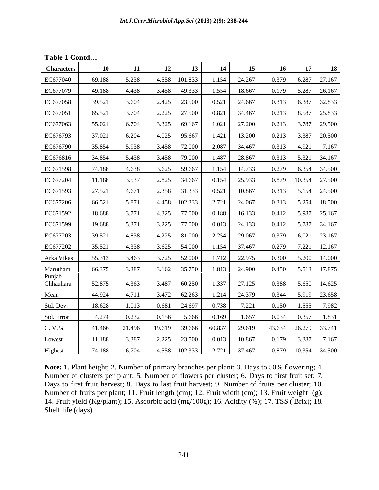| Table 1 Contd |  |  |  |
|---------------|--|--|--|
|---------------|--|--|--|

| <b>Characters</b>   | 10     | 11     | -12    | 13            | 14     | 15     | -16         | 17     | <b>18</b>             |
|---------------------|--------|--------|--------|---------------|--------|--------|-------------|--------|-----------------------|
| EC677040            | 69.188 | 5.238  | 4.558  | 101.833       | 1.154  | 24.267 | 0.379       | 6.287  | 27.167                |
| EC677079            | 49.188 | 4.438  | 3.458  | 49.333        | 1.554  | 18.667 | 0.179       |        | 5.287 26.167          |
| EC677058            | 39.521 | 3.604  | 2.425  | 23.500        | 0.521  | 24.667 | 0.313       |        | 6.387 32.833          |
| EC677051            | 65.521 | 3.704  | 2.225  | 27.500        | 0.821  | 34.467 | 0.213       |        | 8.587 25.833          |
| EC677063            | 55.021 | 6.704  | 3.325  | 69.167        | 1.021  | 27.200 | 0.213       | 3.787  | 29.500                |
| EC676793            | 37.021 | 6.204  | 4.025  | 95.667        | 1.421  | 13.200 | 0.213       |        | 3.387 20.500          |
| EC676790            | 35.854 | 5.938  | 3.458  | 72.000        | 2.087  | 34.467 | 0.313       | 4.921  | 7.167                 |
| EC676816            | 34.854 | 5.438  | 3.458  | 79.000        | 1.487  | 28.867 | 0.313       |        | 5.321 34.167          |
| EC671598            | 74.188 | 4.638  | 3.625  | 59.667        | 1.154  | 14.733 | 0.279       |        | 6.354 34.500          |
| EC677204            | 11.188 | 3.537  | 2.825  | 34.667        | 0.154  | 25.933 | 0.879       |        | 10.354 27.500         |
| EC671593            | 27.521 | 4.671  | 2.358  | 31.333        | 0.521  | 10.867 | 0.313       |        | 5.154 24.500          |
| EC677206            | 66.521 | 5.871  | 4.458  | 102.333       | 2.721  | 24.067 | 0.313       |        | 5.254 18.500          |
| EC671592            | 18.688 | 3.771  |        |               |        |        |             |        |                       |
|                     |        |        | 4.325  | 77.000        | 0.188  | 16.133 | 0.412       |        | 5.987 25.167          |
| EC671599            | 19.688 | 5.371  | 3.225  | 77.000        | 0.013  | 24.133 | 0.412       |        | 5.787 34.167          |
| EC677203            | 39.521 | 4.838  | 4.225  | 81.000        | 2.254  | 29.067 | 0.379       |        | 6.021 23.167          |
| EC677202            | 35.521 | 4.338  | 3.625  | 54.000        | 1.154  | 37.467 | 0.279       |        | 7.221 12.167          |
| Arka Vikas          | 55.313 | 3.463  | 3.725  | 52.000        | 1.712  | 22.975 | 0.300       |        | 5.200 14.000          |
| Marutham            | 66.375 | 3.387  | 3.162  | 35.750        | 1.813  | 24.900 | 0.450       |        | 5.513 17.875          |
| Punjab<br>Chhauhara | 52.875 | 4.363  | 3.487  | 60.250        | 1.337  | 27.125 | 0.388       |        | 5.650 14.625          |
| Mean                | 44.924 | 4.711  | 3.472  | 62.263        | 1.214  | 24.379 | 0.344       |        | 5.919 23.658          |
| Std. Dev.           | 18.628 | 1.013  | 0.681  | 24.697        | 0.738  | 7.221  | 0.150       | 1.555  | 7.982                 |
| Std. Error          | 4.274  | 0.232  | 0.156  | 5.666         | 0.169  | 1.657  | 0.034       | 0.357  | 1.831                 |
| C. V. %             | 41.466 | 21.496 | 19.619 | 39.666        | 60.837 | 29.619 | 43.634      | 26.279 | 33.741                |
| Lowest              | 11.188 | 3.387  | 2.225  | 23.500        | 0.013  | 10.867 | 0.179 3.387 |        | 7.167                 |
| Highest             | 74.188 | 6.704  |        | 4.558 102.333 | 2.721  | 37.467 |             |        | $0.879$ 10.354 34.500 |
|                     |        |        |        |               |        |        |             |        |                       |

**Note:** 1. Plant height; 2. Number of primary branches per plant; 3. Days to 50% flowering; 4. Number of clusters per plant; 5. Number of flowers per cluster;6. Days to first fruit set; 7. Days to first fruit harvest; 8. Days to last fruit harvest; 9. Number of fruits per cluster; 10. Number of fruits per plant; 11. Fruit length (cm); 12. Fruit width (cm); 13. Fruit weight (g); 14. Fruit yield (Kg/plant); 15. Ascorbic acid (mg/100g); 16. Acidity (%); 17. TSS (ºBrix); 18. Shelf life (days)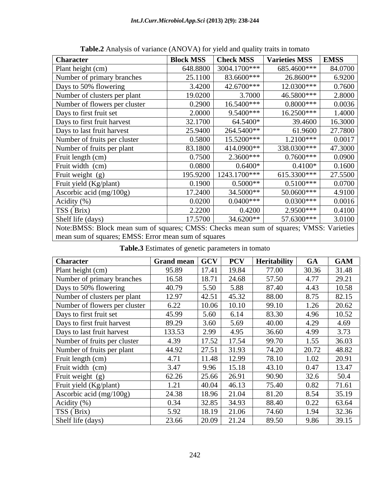| <b>Character</b>                                                                         | <b>Block MSS</b> | <b>Check MSS</b> | Varieties MSS   EMSS |         |
|------------------------------------------------------------------------------------------|------------------|------------------|----------------------|---------|
| Plant height (cm)                                                                        | 648.8800         | 3004.1700***     | 685.4600***          | 84.0700 |
| Number of primary branches                                                               | 25.1100          | 83.6600***       | 26.8600**            | 6.9200  |
| Days to 50% flowering                                                                    | 3.4200           | 42.6700***       | 12.0300***           | 0.7600  |
| Number of clusters per plant                                                             | 19.0200          | 3.7000           | 46.5800**            | 2.8000  |
| Number of flowers per cluster                                                            | 0.2900           | 16.5400***       | $0.8000$ ***         | 0.0036  |
| Days to first fruit set                                                                  | 2.0000           | $9.5400***$      | 16.2500***           | 1.4000  |
| Days to first fruit harvest                                                              | 32.1700          | 64.5400*         | 39.4600              | 16.3000 |
| Days to last fruit harvest                                                               | 25.9400          | 264.5400**       | 61.9600              | 27.7800 |
| Number of fruits per cluster                                                             | 0.5800           | 15.5200***       | 1.2100***            | 0.0017  |
| Number of fruits per plant                                                               | 83.1800          | 414.0900**       | 338.0300***          | 47.3000 |
| Fruit length (cm)                                                                        | 0.7500           | $2.3600***$      | $0.7600***$          | 0.0900  |
| Fruit width (cm)                                                                         | 0.0800           | $0.6400*$        | $0.4100*$            | 0.1600  |
| Fruit weight (g)                                                                         | 195.9200         | 1243.1700***     | 615.3300***          | 27.5500 |
| Fruit yield (Kg/plant)                                                                   | 0.1900           | $0.5000**$       | $0.5100***$          | 0.0700  |
| Ascorbic acid $(mg/100g)$                                                                | 17.2400          | 34.5000**        | 50.0600***           | 4.9100  |
| Acidity $(\%)$                                                                           | 0.0200           | $0.0400$ ***     | $0.0300***$          | 0.0016  |
| TSS (Brix)                                                                               | 2.2200           | 0.4200           | $2.9500$ ***         | 0.4100  |
| Shelf life (days)                                                                        | 17.5700          | 34.6200**        | 57.6300***           | 3.0100  |
| Note: BMSS: Block mean sum of squares; CMSS: Checks mean sum of squares; VMSS: Varieties |                  |                  |                      |         |
| mean sum of squares; EMSS: Error mean sum of squares                                     |                  |                  |                      |         |

**Table.2** Analysis of variance (ANOVA) for yield and quality traits in tomato

| <b>Table.3</b> Estimates of genetic parameters in tomato |  |  |  |
|----------------------------------------------------------|--|--|--|
|                                                          |  |  |  |

| <b>Character</b>              | Grand mean   GCV   PCV   Heritability |         |                                 |       | GA                                                  | GAM                                                              |
|-------------------------------|---------------------------------------|---------|---------------------------------|-------|-----------------------------------------------------|------------------------------------------------------------------|
| Plant height (cm)             | 95.89                                 | 17.41   | 19.84                           | 77.00 | 30.36 31.48                                         |                                                                  |
| Number of primary branches    | 16.58                                 |         | $18.71$ 24.68                   | 57.50 | 4.77                                                | $\frac{29.21}{10.58}$                                            |
| Days to 50% flowering         | 40.79                                 | 5.50    | 5.88                            | 87.40 | 4.43                                                |                                                                  |
| Number of clusters per plant  | 12.97                                 |         | $ 42.51 $ 45.32                 | 88.00 |                                                     |                                                                  |
| Number of flowers per cluster | 6.22                                  |         | $10.06$ 10.10                   | 99.10 |                                                     |                                                                  |
| Days to first fruit set       | 45.99                                 | 1,5.60  | 6.14                            | 83.30 |                                                     | 8.75 82.15<br>1.26 20.62<br>4.96 10.52<br>4.29 4.69<br>4.99 3.73 |
| Days to first fruit harvest   | 89.29                                 |         | $3.60$ 5.69                     | 40.00 |                                                     |                                                                  |
| Days to last fruit harvest    | 133.53                                |         | $2.99$ 4.95                     | 36.60 | $4.99$                                              |                                                                  |
| Number of fruits per cluster  | 4.39                                  |         | $17.52$ 17.54                   | 99.70 | 1.55 36.03                                          |                                                                  |
| Number of fruits per plant    | 44.92                                 | 27.51   | 31.93                           | 74.20 | 20.72 48.82                                         |                                                                  |
| Fruit length (cm)             | 4.71                                  | 11.48   | 12.99                           | 78.10 |                                                     |                                                                  |
| Fruit width (cm)              | 3.47                                  | 9.96    | 15.18                           | 43.10 | 1.02 20.91<br>0.47 13.47<br>32.6 50.4<br>0.82 71.61 |                                                                  |
| Fruit weight (g)              | 62.26                                 |         | $\vert 25.66 \vert 26.91 \vert$ | 90.90 |                                                     |                                                                  |
| Fruit yield (Kg/plant)        | 1.21                                  |         | 40.04 46.13                     | 75.40 |                                                     |                                                                  |
| Ascorbic acid (mg/100g)       | 24.38                                 | 18.96   | 21.04                           | 81.20 | 8.54                                                | 35.19                                                            |
|                               | 0.34                                  | 32.85 I | 34.93                           | 88.40 | 0.22                                                | 63.64                                                            |
| Acidity (%)<br>TSS (Brix)     | 5.92                                  | 18.19   | 21.06                           | 74.60 | 1.94                                                | 32.36                                                            |
| Shelf life (days)             | 23.66                                 |         | $\vert 20.09 \vert 21.24 \vert$ | 89.50 | 9.86 39.15                                          |                                                                  |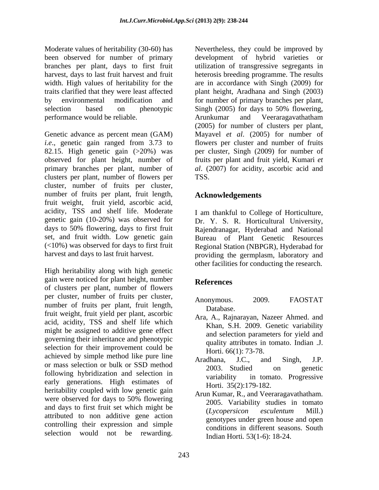Moderate values of heritability (30-60) has Nevertheless, they could be improved by been observed for number of primary selection based on phenotypic Singh (2005) for days to 50% flowering, performance would be reliable.

Genetic advance as percent mean (GAM) Mayavel *et al*. (2005) for number of *i.e*., genetic gain ranged from 3.73 to flowers per cluster and number of fruits 82.15. High genetic gain  $(>20\%)$  was observed for plant height, number of primary branches per plant, number of *al*. (2007) for acidity, ascorbic acid and clusters per plant, number of flowers per cluster, number of fruits per cluster, number of fruits per plant, fruit length, Acknowledgements fruit weight, fruit yield, ascorbic acid, acidity, TSS and shelf life. Moderate genetic gain (10-20%) was observed for Dr. Y. S. R. Horticultural University, days to 50% flowering, days to first fruit Rajendranagar, Hyderabad and National set, and fruit width. Low genetic gain Bureau of Plant Genetic Resources  $(<10\%)$  was observed for days to first fruit

High heritability along with high genetic gain were noticed for plant height, number<br>References of clusters per plant, number of flowers per cluster, number of fruits per cluster, Anonymous. 2009. FAOSTAT number of fruits per plant, fruit length, had batabase. fruit weight, fruit yield per plant, ascorbic acid, acidity, TSS and shelf life which might be assigned to additive gene effect governing their inheritance and phenotypic selection for their improvement could be achieved by simple method like pure line<br>Aradhana, J.C., and Singh, J.P. or mass selection or bulk or SSD method  $\frac{2003}{2003}$  Studied on constitution Following hybridization and selection in and selection in tomato. Progressive early generations. High estimates of heritability coupled with low genetic gain were observed for days to 50% flowering  $\frac{1}{2005}$  Veriability studies in tomato and days to first fruit set which might be (*Lycopersicon esculentum* Mill.) attributed to non additive gene action controlling their expression and simple Montens when the initial initial (31-6) We is the ended by increase the results in the selection of the results in the selection of the results of plane above the plane is the first the selection of the selection of the s

branches per plant, days to first fruit utilization of transgressive segregants in harvest, days to last fruit harvest and fruit heterosis breeding programme. The results width. High values of heritability for the are in accordance with Singh (2009) for traits clarified that they were least affected plant height, Aradhana and Singh (2003) by environmental modification and for number of primary branches per plant, development of hybrid varieties or Singh (2005) for days to 50% flowering, Arunkumar and Veeraragavathatham (2005) for number of clusters per plant, per cluster, Singh (2009) for number of fruits per plant and fruit yield, Kumari *et*  TSS.

# **Acknowledgements**

harvest and days to last fruit harvest. providing the germplasm, laboratory and I am thankful to College of Horticulture, Regional Station (NBPGR), Hyderabad for other facilities for conducting the research.

# **References**

- Anonymous. 2009. FAOSTAT Database.
- Ara, A., Rajnarayan, Nazeer Ahmed. and Khan, S.H. 2009. Genetic variability and selection parameters for yield and quality attributes in tomato. Indian .J. Horti. 66(1): 73-78.
- Aradhana, J.C., and Singh, J.P. 2003. Studied on genetic variability in tomato. Progressive Horti. 35(2):179-182.
- Arun Kumar, R., and Veeraragavathatham. 2005. Variability studies in tomato (*Lycopersicon esculentum* Mill.) genotypes under green house and open conditions in different seasons. South Indian Horti*.* 53(1-6): 18-24.